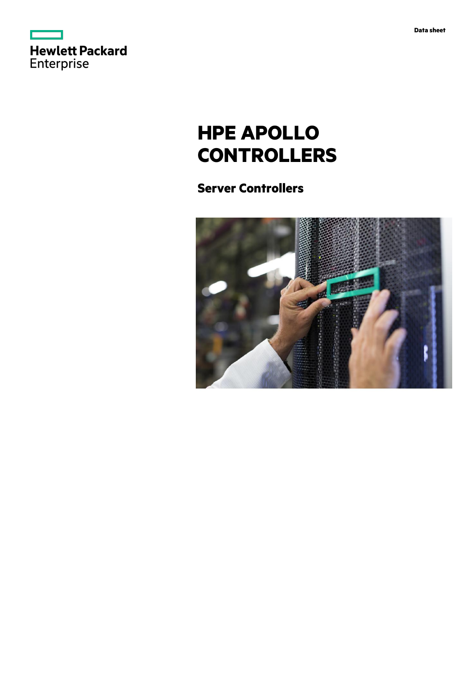



# **HPE APOLLO CONTROLLERS**

## **Server Controllers**